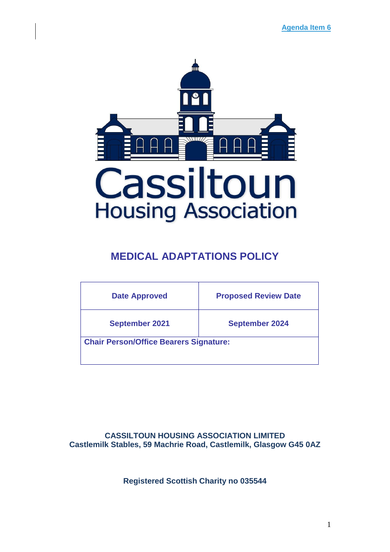

# **MEDICAL ADAPTATIONS POLICY**

| <b>Date Approved</b>                          | <b>Proposed Review Date</b> |
|-----------------------------------------------|-----------------------------|
| <b>September 2021</b>                         | <b>September 2024</b>       |
| <b>Chair Person/Office Bearers Signature:</b> |                             |
|                                               |                             |

**CASSILTOUN HOUSING ASSOCIATION LIMITED Castlemilk Stables, 59 Machrie Road, Castlemilk, Glasgow G45 0AZ**

**Registered Scottish Charity no 035544**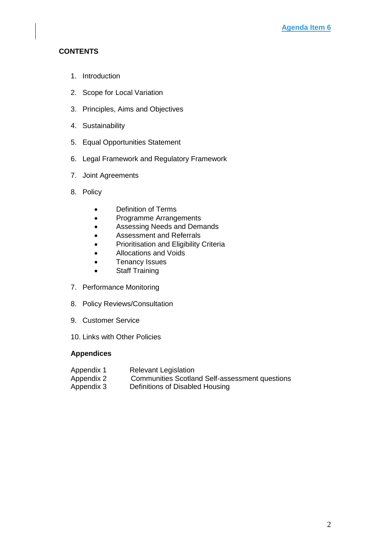## **CONTENTS**

- 1. Introduction
- 2. Scope for Local Variation
- 3. Principles, Aims and Objectives
- 4. Sustainability
- 5. Equal Opportunities Statement
- 6. Legal Framework and Regulatory Framework
- 7. Joint Agreements
- 8. Policy
	- Definition of Terms
	- Programme Arrangements
	- Assessing Needs and Demands
	- Assessment and Referrals
	- Prioritisation and Eligibility Criteria
	- Allocations and Voids
	- Tenancy Issues
	- Staff Training
- 7. Performance Monitoring
- 8. Policy Reviews/Consultation
- 9. Customer Service
- 10. Links with Other Policies

### **Appendices**

Appendix 1 Relevant Legislation Appendix 2 Communities Scotland Self-assessment questions Appendix 3 Definitions of Disabled Housing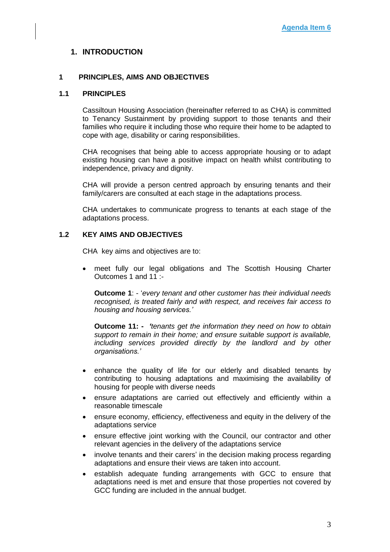### **1. INTRODUCTION**

### **1 PRINCIPLES, AIMS AND OBJECTIVES**

#### **1.1 PRINCIPLES**

Cassiltoun Housing Association (hereinafter referred to as CHA) is committed to Tenancy Sustainment by providing support to those tenants and their families who require it including those who require their home to be adapted to cope with age, disability or caring responsibilities.

CHA recognises that being able to access appropriate housing or to adapt existing housing can have a positive impact on health whilst contributing to independence, privacy and dignity.

CHA will provide a person centred approach by ensuring tenants and their family/carers are consulted at each stage in the adaptations process.

CHA undertakes to communicate progress to tenants at each stage of the adaptations process.

#### **1.2 KEY AIMS AND OBJECTIVES**

CHA key aims and objectives are to:

• meet fully our legal obligations and The Scottish Housing Charter Outcomes 1 and 11 :-

**Outcome 1**: - '*every tenant and other customer has their individual needs recognised, is treated fairly and with respect, and receives fair access to housing and housing services.'*

**Outcome 11: -** *'tenants get the information they need on how to obtain support to remain in their home; and ensure suitable support is available, including services provided directly by the landlord and by other organisations.'*

- enhance the quality of life for our elderly and disabled tenants by contributing to housing adaptations and maximising the availability of housing for people with diverse needs
- ensure adaptations are carried out effectively and efficiently within a reasonable timescale
- ensure economy, efficiency, effectiveness and equity in the delivery of the adaptations service
- ensure effective joint working with the Council, our contractor and other relevant agencies in the delivery of the adaptations service
- involve tenants and their carers' in the decision making process regarding adaptations and ensure their views are taken into account.
- establish adequate funding arrangements with GCC to ensure that adaptations need is met and ensure that those properties not covered by GCC funding are included in the annual budget.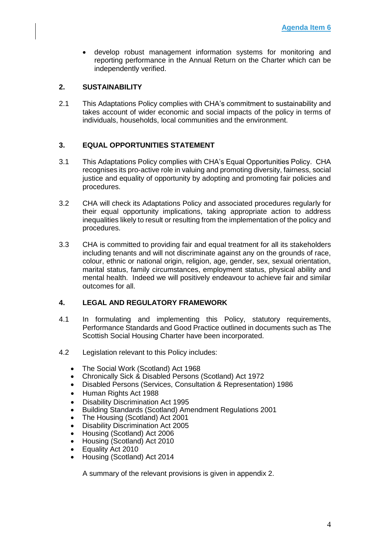• develop robust management information systems for monitoring and reporting performance in the Annual Return on the Charter which can be independently verified.

### **2. SUSTAINABILITY**

2.1 This Adaptations Policy complies with CHA's commitment to sustainability and takes account of wider economic and social impacts of the policy in terms of individuals, households, local communities and the environment.

### **3. EQUAL OPPORTUNITIES STATEMENT**

- 3.1 This Adaptations Policy complies with CHA's Equal Opportunities Policy. CHA recognises its pro-active role in valuing and promoting diversity, fairness, social justice and equality of opportunity by adopting and promoting fair policies and procedures.
- 3.2 CHA will check its Adaptations Policy and associated procedures regularly for their equal opportunity implications, taking appropriate action to address inequalities likely to result or resulting from the implementation of the policy and procedures.
- 3.3 CHA is committed to providing fair and equal treatment for all its stakeholders including tenants and will not discriminate against any on the grounds of race, colour, ethnic or national origin, religion, age, gender, sex, sexual orientation, marital status, family circumstances, employment status, physical ability and mental health. Indeed we will positively endeavour to achieve fair and similar outcomes for all.

### **4. LEGAL AND REGULATORY FRAMEWORK**

- 4.1 In formulating and implementing this Policy, statutory requirements, Performance Standards and Good Practice outlined in documents such as The Scottish Social Housing Charter have been incorporated.
- 4.2 Legislation relevant to this Policy includes:
	- The Social Work (Scotland) Act 1968
	- Chronically Sick & Disabled Persons (Scotland) Act 1972
	- Disabled Persons (Services, Consultation & Representation) 1986
	- Human Rights Act 1988
	- Disability Discrimination Act 1995
	- Building Standards (Scotland) Amendment Regulations 2001
	- The Housing (Scotland) Act 2001
	- Disability Discrimination Act 2005
	- Housing (Scotland) Act 2006
	- Housing (Scotland) Act 2010
	- Equality Act 2010
	- Housing (Scotland) Act 2014

A summary of the relevant provisions is given in appendix 2.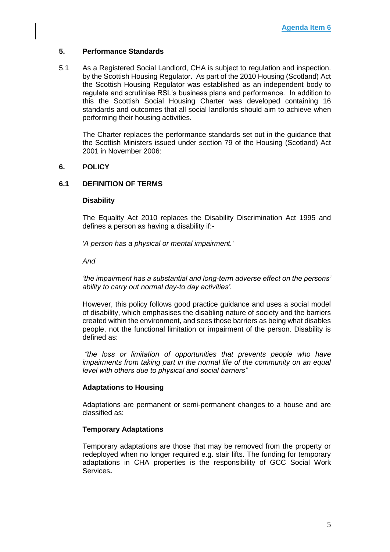### **5. Performance Standards**

5.1 As a Registered Social Landlord, CHA is subject to regulation and inspection. by the Scottish Housing Regulator**.** As part of the 2010 Housing (Scotland) Act the Scottish Housing Regulator was established as an independent body to regulate and scrutinise RSL's business plans and performance. In addition to this the Scottish Social Housing Charter was developed containing 16 standards and outcomes that all social landlords should aim to achieve when performing their housing activities.

The Charter replaces the performance standards set out in the guidance that the Scottish Ministers issued under section 79 of the Housing (Scotland) Act 2001 in November 2006:

#### **6. POLICY**

#### **6.1 DEFINITION OF TERMS**

#### **Disability**

The Equality Act 2010 replaces the Disability Discrimination Act 1995 and defines a person as having a disability if:-

*'A person has a physical or mental impairment.'* 

*And*

*'the impairment has a substantial and long-term adverse effect on the persons' ability to carry out normal day-to day activities'.*

However, this policy follows good practice guidance and uses a social model of disability, which emphasises the disabling nature of society and the barriers created within the environment, and sees those barriers as being what disables people, not the functional limitation or impairment of the person. Disability is defined as:

*"the loss or limitation of opportunities that prevents people who have impairments from taking part in the normal life of the community on an equal level with others due to physical and social barriers"*

#### **Adaptations to Housing**

Adaptations are permanent or semi-permanent changes to a house and are classified as:

#### **Temporary Adaptations**

Temporary adaptations are those that may be removed from the property or redeployed when no longer required e.g. stair lifts. The funding for temporary adaptations in CHA properties is the responsibility of GCC Social Work Services**.**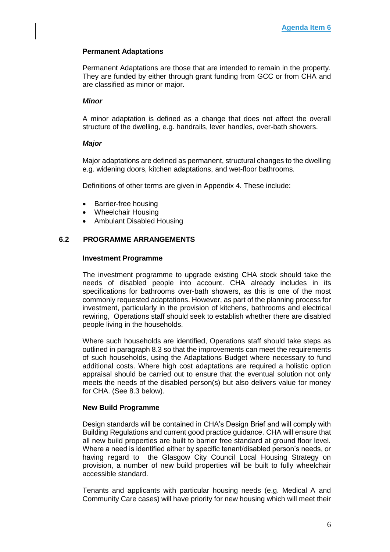### **Permanent Adaptations**

Permanent Adaptations are those that are intended to remain in the property. They are funded by either through grant funding from GCC or from CHA and are classified as minor or major.

#### *Minor*

A minor adaptation is defined as a change that does not affect the overall structure of the dwelling, e.g. handrails, lever handles, over-bath showers.

#### *Major*

Major adaptations are defined as permanent, structural changes to the dwelling e.g. widening doors, kitchen adaptations, and wet-floor bathrooms.

Definitions of other terms are given in Appendix 4. These include:

- Barrier-free housing
- Wheelchair Housing
- Ambulant Disabled Housing

### **6.2 PROGRAMME ARRANGEMENTS**

#### **Investment Programme**

The investment programme to upgrade existing CHA stock should take the needs of disabled people into account. CHA already includes in its specifications for bathrooms over-bath showers, as this is one of the most commonly requested adaptations. However, as part of the planning process for investment, particularly in the provision of kitchens, bathrooms and electrical rewiring, Operations staff should seek to establish whether there are disabled people living in the households.

Where such households are identified, Operations staff should take steps as outlined in paragraph 8.3 so that the improvements can meet the requirements of such households, using the Adaptations Budget where necessary to fund additional costs. Where high cost adaptations are required a holistic option appraisal should be carried out to ensure that the eventual solution not only meets the needs of the disabled person(s) but also delivers value for money for CHA. (See 8.3 below).

#### **New Build Programme**

Design standards will be contained in CHA's Design Brief and will comply with Building Regulations and current good practice guidance. CHA will ensure that all new build properties are built to barrier free standard at ground floor level. Where a need is identified either by specific tenant/disabled person's needs, or having regard to the Glasgow City Council Local Housing Strategy on provision, a number of new build properties will be built to fully wheelchair accessible standard.

Tenants and applicants with particular housing needs (e.g. Medical A and Community Care cases) will have priority for new housing which will meet their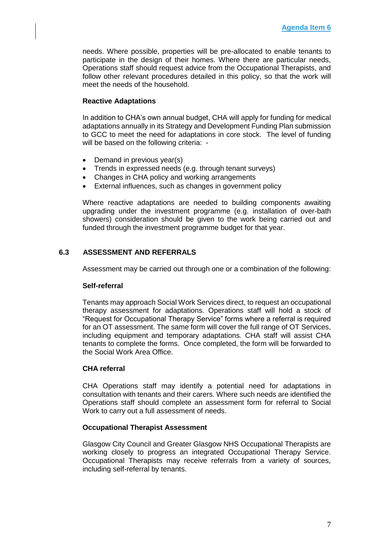needs. Where possible, properties will be pre-allocated to enable tenants to participate in the design of their homes. Where there are particular needs, Operations staff should request advice from the Occupational Therapists, and follow other relevant procedures detailed in this policy, so that the work will meet the needs of the household.

### **Reactive Adaptations**

In addition to CHA's own annual budget, CHA will apply for funding for medical adaptations annually in its Strategy and Development Funding Plan submission to GCC to meet the need for adaptations in core stock. The level of funding will be based on the following criteria: -

- Demand in previous year(s)
- Trends in expressed needs (e.g. through tenant surveys)
- Changes in CHA policy and working arrangements
- External influences, such as changes in government policy

Where reactive adaptations are needed to building components awaiting upgrading under the investment programme (e.g. installation of over-bath showers) consideration should be given to the work being carried out and funded through the investment programme budget for that year.

### **6.3 ASSESSMENT AND REFERRALS**

Assessment may be carried out through one or a combination of the following:

#### **Self-referral**

Tenants may approach Social Work Services direct, to request an occupational therapy assessment for adaptations. Operations staff will hold a stock of "Request for Occupational Therapy Service" forms where a referral is required for an OT assessment. The same form will cover the full range of OT Services, including equipment and temporary adaptations. CHA staff will assist CHA tenants to complete the forms. Once completed, the form will be forwarded to the Social Work Area Office.

#### **CHA referral**

CHA Operations staff may identify a potential need for adaptations in consultation with tenants and their carers. Where such needs are identified the Operations staff should complete an assessment form for referral to Social Work to carry out a full assessment of needs.

#### **Occupational Therapist Assessment**

Glasgow City Council and Greater Glasgow NHS Occupational Therapists are working closely to progress an integrated Occupational Therapy Service. Occupational Therapists may receive referrals from a variety of sources, including self-referral by tenants.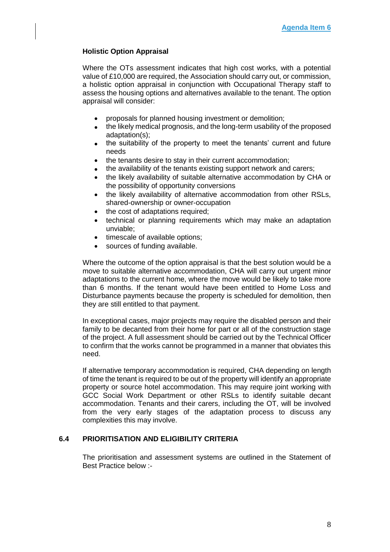### **Holistic Option Appraisal**

Where the OTs assessment indicates that high cost works, with a potential value of £10,000 are required, the Association should carry out, or commission, a holistic option appraisal in conjunction with Occupational Therapy staff to assess the housing options and alternatives available to the tenant. The option appraisal will consider:

- proposals for planned housing investment or demolition;
- the likely medical prognosis, and the long-term usability of the proposed adaptation(s);
- the suitability of the property to meet the tenants' current and future needs
- the tenants desire to stay in their current accommodation;
- the availability of the tenants existing support network and carers;
- the likely availability of suitable alternative accommodation by CHA or the possibility of opportunity conversions
- the likely availability of alternative accommodation from other RSLs, shared-ownership or owner-occupation
- the cost of adaptations required;
- technical or planning requirements which may make an adaptation unviable;
- timescale of available options;
- sources of funding available.

Where the outcome of the option appraisal is that the best solution would be a move to suitable alternative accommodation, CHA will carry out urgent minor adaptations to the current home, where the move would be likely to take more than 6 months. If the tenant would have been entitled to Home Loss and Disturbance payments because the property is scheduled for demolition, then they are still entitled to that payment.

In exceptional cases, major projects may require the disabled person and their family to be decanted from their home for part or all of the construction stage of the project. A full assessment should be carried out by the Technical Officer to confirm that the works cannot be programmed in a manner that obviates this need.

If alternative temporary accommodation is required, CHA depending on length of time the tenant is required to be out of the property will identify an appropriate property or source hotel accommodation. This may require joint working with GCC Social Work Department or other RSLs to identify suitable decant accommodation. Tenants and their carers, including the OT, will be involved from the very early stages of the adaptation process to discuss any complexities this may involve.

### **6.4 PRIORITISATION AND ELIGIBILITY CRITERIA**

The prioritisation and assessment systems are outlined in the Statement of Best Practice below :-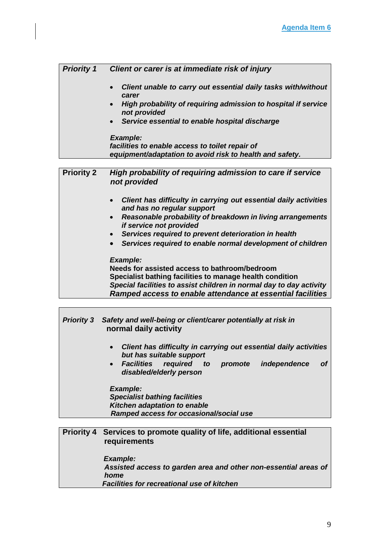| <b>Priority 1</b> | Client or carer is at immediate risk of injury                                                                                    |
|-------------------|-----------------------------------------------------------------------------------------------------------------------------------|
|                   | Client unable to carry out essential daily tasks with/without<br>carer                                                            |
|                   | High probability of requiring admission to hospital if service<br>not provided                                                    |
|                   | Service essential to enable hospital discharge                                                                                    |
|                   | <b>Example:</b>                                                                                                                   |
|                   | facilities to enable access to toilet repair of                                                                                   |
|                   | equipment/adaptation to avoid risk to health and safety.                                                                          |
|                   |                                                                                                                                   |
| <b>Priority 2</b> | High probability of requiring admission to care if service<br>not provided                                                        |
|                   | Client has difficulty in carrying out essential daily activities<br>and has no regular support                                    |
|                   | Reasonable probability of breakdown in living arrangements<br>if service not provided                                             |
|                   | Services required to prevent deterioration in health                                                                              |
|                   | Services required to enable normal development of children                                                                        |
|                   | <b>Example:</b>                                                                                                                   |
|                   | Needs for assisted access to bathroom/bedroom                                                                                     |
|                   | Specialist bathing facilities to manage health condition                                                                          |
|                   | Special facilities to assist children in normal day to day activity<br>Ramped access to enable attendance at essential facilities |

| <b>Priority 3</b> | Safety and well-being or client/carer potentially at risk in<br>normal daily activity                     |
|-------------------|-----------------------------------------------------------------------------------------------------------|
|                   | Client has difficulty in carrying out essential daily activities<br>$\bullet$<br>but has suitable support |
|                   | • Facilities required to promote<br>independence<br><b>of</b><br>disabled/elderly person                  |
|                   | <b>Example:</b>                                                                                           |
|                   | <b>Specialist bathing facilities</b>                                                                      |
|                   | Kitchen adaptation to enable                                                                              |
|                   | Ramped access for occasional/social use                                                                   |
|                   |                                                                                                           |
|                   | Priority 4 Services to promote quality of life, additional essential                                      |

**The Common** 

# **requirements** *Example: Assisted access to garden area and other non-essential areas of home Facilities for recreational use of kitchen*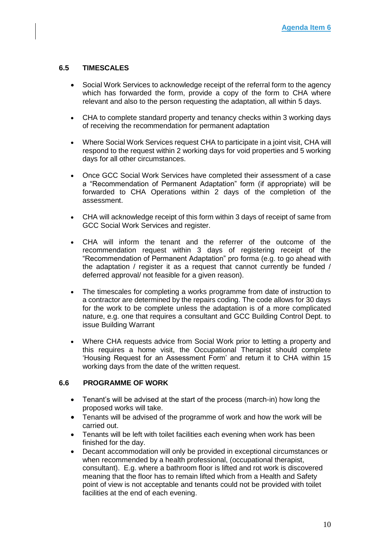### **6.5 TIMESCALES**

- Social Work Services to acknowledge receipt of the referral form to the agency which has forwarded the form, provide a copy of the form to CHA where relevant and also to the person requesting the adaptation, all within 5 days.
- CHA to complete standard property and tenancy checks within 3 working days of receiving the recommendation for permanent adaptation
- Where Social Work Services request CHA to participate in a joint visit, CHA will respond to the request within 2 working days for void properties and 5 working days for all other circumstances.
- Once GCC Social Work Services have completed their assessment of a case a "Recommendation of Permanent Adaptation" form (if appropriate) will be forwarded to CHA Operations within 2 days of the completion of the assessment.
- CHA will acknowledge receipt of this form within 3 days of receipt of same from GCC Social Work Services and register.
- CHA will inform the tenant and the referrer of the outcome of the recommendation request within 3 days of registering receipt of the "Recommendation of Permanent Adaptation" pro forma (e.g. to go ahead with the adaptation / register it as a request that cannot currently be funded / deferred approval/ not feasible for a given reason).
- The timescales for completing a works programme from date of instruction to a contractor are determined by the repairs coding. The code allows for 30 days for the work to be complete unless the adaptation is of a more complicated nature, e.g. one that requires a consultant and GCC Building Control Dept. to issue Building Warrant
- Where CHA requests advice from Social Work prior to letting a property and this requires a home visit, the Occupational Therapist should complete 'Housing Request for an Assessment Form' and return it to CHA within 15 working days from the date of the written request.

#### **6.6 PROGRAMME OF WORK**

- Tenant's will be advised at the start of the process (march-in) how long the proposed works will take.
- Tenants will be advised of the programme of work and how the work will be carried out.
- Tenants will be left with toilet facilities each evening when work has been finished for the day.
- Decant accommodation will only be provided in exceptional circumstances or when recommended by a health professional, (occupational therapist, consultant). E.g. where a bathroom floor is lifted and rot work is discovered meaning that the floor has to remain lifted which from a Health and Safety point of view is not acceptable and tenants could not be provided with toilet facilities at the end of each evening.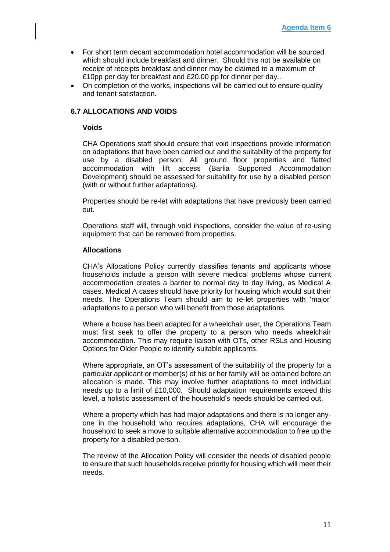- For short term decant accommodation hotel accommodation will be sourced which should include breakfast and dinner. Should this not be available on receipt of receipts breakfast and dinner may be claimed to a maximum of £10pp per day for breakfast and £20.00 pp for dinner per day..
- On completion of the works, inspections will be carried out to ensure quality and tenant satisfaction.

### **6.7 ALLOCATIONS AND VOIDS**

#### **Voids**

CHA Operations staff should ensure that void inspections provide information on adaptations that have been carried out and the suitability of the property for use by a disabled person. All ground floor properties and flatted accommodation with lift access (Barlia Supported Accommodation Development) should be assessed for suitability for use by a disabled person (with or without further adaptations).

Properties should be re-let with adaptations that have previously been carried out.

Operations staff will, through void inspections, consider the value of re-using equipment that can be removed from properties.

#### **Allocations**

CHA's Allocations Policy currently classifies tenants and applicants whose households include a person with severe medical problems whose current accommodation creates a barrier to normal day to day living, as Medical A cases. Medical A cases should have priority for housing which would suit their needs. The Operations Team should aim to re-let properties with 'major' adaptations to a person who will benefit from those adaptations.

Where a house has been adapted for a wheelchair user, the Operations Team must first seek to offer the property to a person who needs wheelchair accommodation. This may require liaison with OTs, other RSLs and Housing Options for Older People to identify suitable applicants.

Where appropriate, an OT's assessment of the suitability of the property for a particular applicant or member(s) of his or her family will be obtained before an allocation is made. This may involve further adaptations to meet individual needs up to a limit of £10,000. Should adaptation requirements exceed this level, a holistic assessment of the household's needs should be carried out.

Where a property which has had major adaptations and there is no longer anyone in the household who requires adaptations, CHA will encourage the household to seek a move to suitable alternative accommodation to free up the property for a disabled person.

The review of the Allocation Policy will consider the needs of disabled people to ensure that such households receive priority for housing which will meet their needs.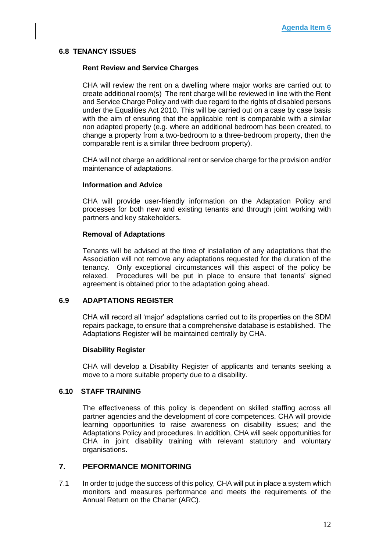### **6.8 TENANCY ISSUES**

#### **Rent Review and Service Charges**

CHA will review the rent on a dwelling where major works are carried out to create additional room(s) The rent charge will be reviewed in line with the Rent and Service Charge Policy and with due regard to the rights of disabled persons under the Equalities Act 2010. This will be carried out on a case by case basis with the aim of ensuring that the applicable rent is comparable with a similar non adapted property (e.g. where an additional bedroom has been created, to change a property from a two-bedroom to a three-bedroom property, then the comparable rent is a similar three bedroom property).

CHA will not charge an additional rent or service charge for the provision and/or maintenance of adaptations.

#### **Information and Advice**

CHA will provide user-friendly information on the Adaptation Policy and processes for both new and existing tenants and through joint working with partners and key stakeholders.

#### **Removal of Adaptations**

Tenants will be advised at the time of installation of any adaptations that the Association will not remove any adaptations requested for the duration of the tenancy. Only exceptional circumstances will this aspect of the policy be relaxed. Procedures will be put in place to ensure that tenants' signed agreement is obtained prior to the adaptation going ahead.

### **6.9 ADAPTATIONS REGISTER**

CHA will record all 'major' adaptations carried out to its properties on the SDM repairs package, to ensure that a comprehensive database is established. The Adaptations Register will be maintained centrally by CHA.

#### **Disability Register**

CHA will develop a Disability Register of applicants and tenants seeking a move to a more suitable property due to a disability.

### **6.10 STAFF TRAINING**

The effectiveness of this policy is dependent on skilled staffing across all partner agencies and the development of core competences. CHA will provide learning opportunities to raise awareness on disability issues; and the Adaptations Policy and procedures. In addition, CHA will seek opportunities for CHA in joint disability training with relevant statutory and voluntary organisations.

## **7. PEFORMANCE MONITORING**

7.1 In order to judge the success of this policy, CHA will put in place a system which monitors and measures performance and meets the requirements of the Annual Return on the Charter (ARC).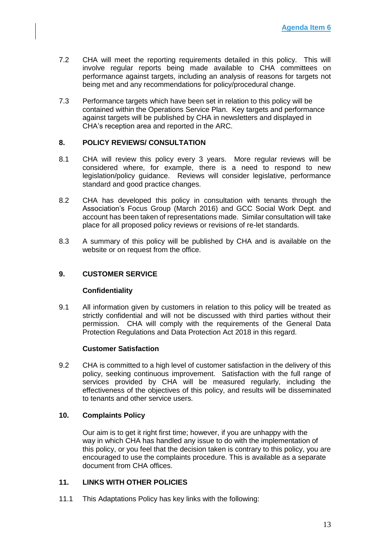- 7.2 CHA will meet the reporting requirements detailed in this policy. This will involve regular reports being made available to CHA committees on performance against targets, including an analysis of reasons for targets not being met and any recommendations for policy/procedural change.
- 7.3 Performance targets which have been set in relation to this policy will be contained within the Operations Service Plan. Key targets and performance against targets will be published by CHA in newsletters and displayed in CHA's reception area and reported in the ARC.

### **8. POLICY REVIEWS/ CONSULTATION**

- 8.1 CHA will review this policy every 3 years. More regular reviews will be considered where, for example, there is a need to respond to new legislation/policy guidance. Reviews will consider legislative, performance standard and good practice changes.
- 8.2 CHA has developed this policy in consultation with tenants through the Association's Focus Group (March 2016) and GCC Social Work Dept. and account has been taken of representations made. Similar consultation will take place for all proposed policy reviews or revisions of re-let standards.
- 8.3 A summary of this policy will be published by CHA and is available on the website or on request from the office.

### **9. CUSTOMER SERVICE**

#### **Confidentiality**

9.1 All information given by customers in relation to this policy will be treated as strictly confidential and will not be discussed with third parties without their permission. CHA will comply with the requirements of the General Data Protection Regulations and Data Protection Act 2018 in this regard.

#### **Customer Satisfaction**

9.2 CHA is committed to a high level of customer satisfaction in the delivery of this policy, seeking continuous improvement. Satisfaction with the full range of services provided by CHA will be measured regularly, including the effectiveness of the objectives of this policy, and results will be disseminated to tenants and other service users.

#### **10. Complaints Policy**

Our aim is to get it right first time; however, if you are unhappy with the way in which CHA has handled any issue to do with the implementation of this policy, or you feel that the decision taken is contrary to this policy, you are encouraged to use the complaints procedure. This is available as a separate document from CHA offices.

#### **11. LINKS WITH OTHER POLICIES**

11.1 This Adaptations Policy has key links with the following: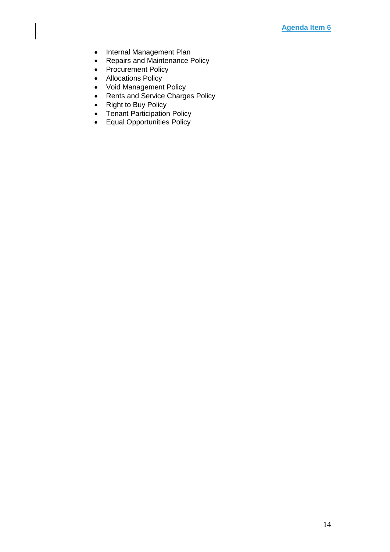- Internal Management Plan
- Repairs and Maintenance Policy
- Procurement Policy
- Allocations Policy
- Void Management Policy
- Rents and Service Charges Policy
- Right to Buy Policy
- Tenant Participation Policy
- Equal Opportunities Policy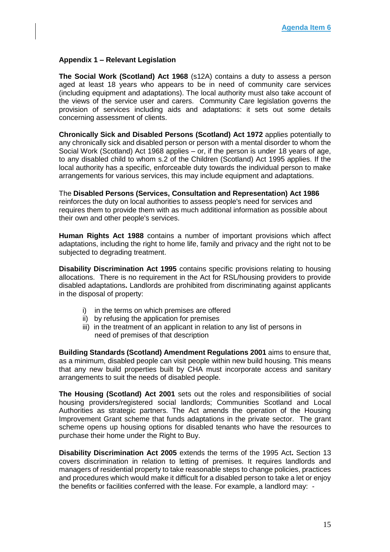### **Appendix 1 – Relevant Legislation**

**The Social Work (Scotland) Act 1968** (s12A) contains a duty to assess a person aged at least 18 years who appears to be in need of community care services (including equipment and adaptations). The local authority must also take account of the views of the service user and carers. Community Care legislation governs the provision of services including aids and adaptations: it sets out some details concerning assessment of clients.

**Chronically Sick and Disabled Persons (Scotland) Act 1972** applies potentially to any chronically sick and disabled person or person with a mental disorder to whom the Social Work (Scotland) Act 1968 applies – or, if the person is under 18 years of age, to any disabled child to whom s.2 of the Children (Scotland) Act 1995 applies. If the local authority has a specific, enforceable duty towards the individual person to make arrangements for various services, this may include equipment and adaptations.

The **Disabled Persons (Services, Consultation and Representation) Act 1986** reinforces the duty on local authorities to assess people's need for services and requires them to provide them with as much additional information as possible about their own and other people's services.

**Human Rights Act 1988** contains a number of important provisions which affect adaptations, including the right to home life, family and privacy and the right not to be subjected to degrading treatment.

**Disability Discrimination Act 1995** contains specific provisions relating to housing allocations. There is no requirement in the Act for RSL/housing providers to provide disabled adaptations**.** Landlords are prohibited from discriminating against applicants in the disposal of property:

- i) in the terms on which premises are offered
- ii) by refusing the application for premises
- iii) in the treatment of an applicant in relation to any list of persons in need of premises of that description

**Building Standards (Scotland) Amendment Regulations 2001** aims to ensure that, as a minimum, disabled people can visit people within new build housing. This means that any new build properties built by CHA must incorporate access and sanitary arrangements to suit the needs of disabled people.

**The Housing (Scotland) Act 2001** sets out the roles and responsibilities of social housing providers/registered social landlords; Communities Scotland and Local Authorities as strategic partners. The Act amends the operation of the Housing Improvement Grant scheme that funds adaptations in the private sector. The grant scheme opens up housing options for disabled tenants who have the resources to purchase their home under the Right to Buy.

**Disability Discrimination Act 2005** extends the terms of the 1995 Act**.** Section 13 covers discrimination in relation to letting of premises. It requires landlords and managers of residential property to take reasonable steps to change policies, practices and procedures which would make it difficult for a disabled person to take a let or enjoy the benefits or facilities conferred with the lease. For example, a landlord may: -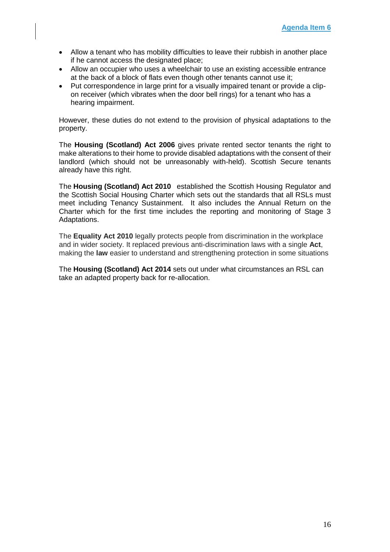- Allow a tenant who has mobility difficulties to leave their rubbish in another place if he cannot access the designated place;
- Allow an occupier who uses a wheelchair to use an existing accessible entrance at the back of a block of flats even though other tenants cannot use it;
- Put correspondence in large print for a visually impaired tenant or provide a clipon receiver (which vibrates when the door bell rings) for a tenant who has a hearing impairment.

However, these duties do not extend to the provision of physical adaptations to the property.

The **Housing (Scotland) Act 2006** gives private rented sector tenants the right to make alterations to their home to provide disabled adaptations with the consent of their landlord (which should not be unreasonably with-held). Scottish Secure tenants already have this right.

The **Housing (Scotland) Act 2010** established the Scottish Housing Regulator and the Scottish Social Housing Charter which sets out the standards that all RSLs must meet including Tenancy Sustainment. It also includes the Annual Return on the Charter which for the first time includes the reporting and monitoring of Stage 3 Adaptations.

The **Equality Act 2010** legally protects people from discrimination in the workplace and in wider society. It replaced previous anti-discrimination laws with a single **Act**, making the **law** easier to understand and strengthening protection in some situations

The **Housing (Scotland) Act 2014** sets out under what circumstances an RSL can take an adapted property back for re-allocation.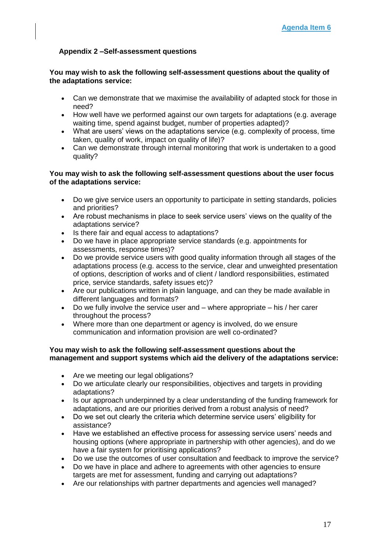### **Appendix 2 –Self-assessment questions**

### **You may wish to ask the following self-assessment questions about the quality of the adaptations service:**

- Can we demonstrate that we maximise the availability of adapted stock for those in need?
- How well have we performed against our own targets for adaptations (e.g. average waiting time, spend against budget, number of properties adapted)?
- What are users' views on the adaptations service (e.g. complexity of process, time taken, quality of work, impact on quality of life)?
- Can we demonstrate through internal monitoring that work is undertaken to a good quality?

### **You may wish to ask the following self-assessment questions about the user focus of the adaptations service:**

- Do we give service users an opportunity to participate in setting standards, policies and priorities?
- Are robust mechanisms in place to seek service users' views on the quality of the adaptations service?
- Is there fair and equal access to adaptations?
- Do we have in place appropriate service standards (e.g. appointments for assessments, response times)?
- Do we provide service users with good quality information through all stages of the adaptations process (e.g. access to the service, clear and unweighted presentation of options, description of works and of client / landlord responsibilities, estimated price, service standards, safety issues etc)?
- Are our publications written in plain language, and can they be made available in different languages and formats?
- Do we fully involve the service user and where appropriate his  $/$  her carer throughout the process?
- Where more than one department or agency is involved, do we ensure communication and information provision are well co-ordinated?

#### **You may wish to ask the following self-assessment questions about the management and support systems which aid the delivery of the adaptations service:**

- Are we meeting our legal obligations?
- Do we articulate clearly our responsibilities, objectives and targets in providing adaptations?
- Is our approach underpinned by a clear understanding of the funding framework for adaptations, and are our priorities derived from a robust analysis of need?
- Do we set out clearly the criteria which determine service users' eligibility for assistance?
- Have we established an effective process for assessing service users' needs and housing options (where appropriate in partnership with other agencies), and do we have a fair system for prioritising applications?
- Do we use the outcomes of user consultation and feedback to improve the service?
- Do we have in place and adhere to agreements with other agencies to ensure targets are met for assessment, funding and carrying out adaptations?
- Are our relationships with partner departments and agencies well managed?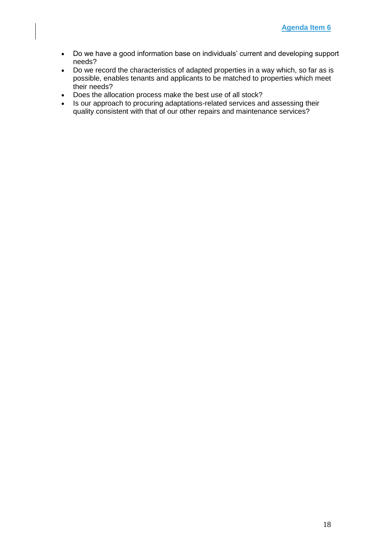- Do we have a good information base on individuals' current and developing support needs?
- Do we record the characteristics of adapted properties in a way which, so far as is possible, enables tenants and applicants to be matched to properties which meet their needs?
- Does the allocation process make the best use of all stock?
- Is our approach to procuring adaptations-related services and assessing their quality consistent with that of our other repairs and maintenance services?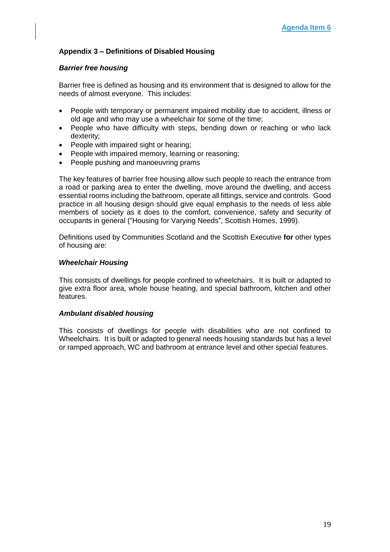### **Appendix 3 – Definitions of Disabled Housing**

#### *Barrier free housing*

Barrier free is defined as housing and its environment that is designed to allow for the needs of almost everyone. This includes:

- People with temporary or permanent impaired mobility due to accident, illness or old age and who may use a wheelchair for some of the time;
- People who have difficulty with steps, bending down or reaching or who lack dexterity;
- People with impaired sight or hearing;
- People with impaired memory, learning or reasoning;
- People pushing and manoeuvring prams

The key features of barrier free housing allow such people to reach the entrance from a road or parking area to enter the dwelling, move around the dwelling, and access essential rooms including the bathroom, operate all fittings, service and controls. Good practice in all housing design should give equal emphasis to the needs of less able members of society as it does to the comfort, convenience, safety and security of occupants in general ("Housing for Varying Needs", Scottish Homes, 1999).

Definitions used by Communities Scotland and the Scottish Executive **for** other types of housing are:

#### *Wheelchair Housing*

This consists of dwellings for people confined to wheelchairs. It is built or adapted to give extra floor area, whole house heating, and special bathroom, kitchen and other features.

#### *Ambulant disabled housing*

This consists of dwellings for people with disabilities who are not confined to Wheelchairs. It is built or adapted to general needs housing standards but has a level or ramped approach, WC and bathroom at entrance level and other special features.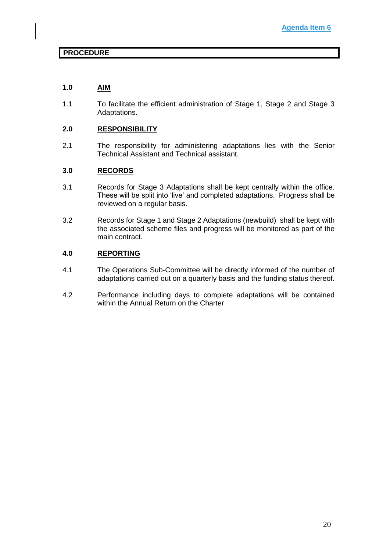### **PROCEDURE**

### **1.0 AIM**

1.1 To facilitate the efficient administration of Stage 1, Stage 2 and Stage 3 Adaptations.

### **2.0 RESPONSIBILITY**

2.1 The responsibility for administering adaptations lies with the Senior Technical Assistant and Technical assistant.

### **3.0 RECORDS**

- 3.1 Records for Stage 3 Adaptations shall be kept centrally within the office. These will be split into 'live' and completed adaptations. Progress shall be reviewed on a regular basis.
- 3.2 Records for Stage 1 and Stage 2 Adaptations (newbuild) shall be kept with the associated scheme files and progress will be monitored as part of the main contract.

### **4.0 REPORTING**

- 4.1 The Operations Sub-Committee will be directly informed of the number of adaptations carried out on a quarterly basis and the funding status thereof.
- 4.2 Performance including days to complete adaptations will be contained within the Annual Return on the Charter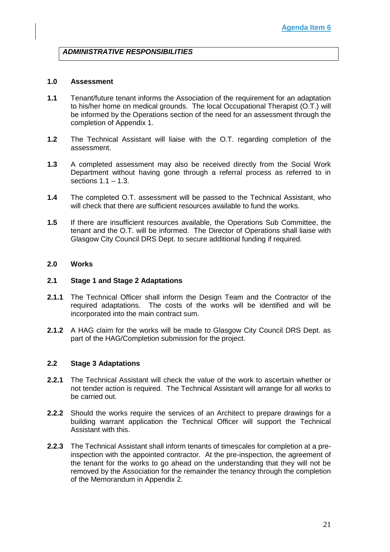### *ADMINISTRATIVE RESPONSIBILITIES*

#### **1.0 Assessment**

- **1.1** Tenant/future tenant informs the Association of the requirement for an adaptation to his/her home on medical grounds. The local Occupational Therapist (O.T.) will be informed by the Operations section of the need for an assessment through the completion of Appendix 1.
- **1.2** The Technical Assistant will liaise with the O.T. regarding completion of the assessment.
- **1.3** A completed assessment may also be received directly from the Social Work Department without having gone through a referral process as referred to in sections  $1.1 - 1.3$ .
- **1.4** The completed O.T. assessment will be passed to the Technical Assistant, who will check that there are sufficient resources available to fund the works.
- **1.5** If there are insufficient resources available, the Operations Sub Committee, the tenant and the O.T. will be informed. The Director of Operations shall liaise with Glasgow City Council DRS Dept. to secure additional funding if required.

### **2.0 Works**

#### **2.1 Stage 1 and Stage 2 Adaptations**

- **2.1.1** The Technical Officer shall inform the Design Team and the Contractor of the required adaptations. The costs of the works will be identified and will be incorporated into the main contract sum.
- **2.1.2** A HAG claim for the works will be made to Glasgow City Council DRS Dept. as part of the HAG/Completion submission for the project.

#### **2.2 Stage 3 Adaptations**

- **2.2.1** The Technical Assistant will check the value of the work to ascertain whether or not tender action is required. The Technical Assistant will arrange for all works to be carried out.
- **2.2.2** Should the works require the services of an Architect to prepare drawings for a building warrant application the Technical Officer will support the Technical Assistant with this.
- **2.2.3** The Technical Assistant shall inform tenants of timescales for completion at a preinspection with the appointed contractor. At the pre-inspection, the agreement of the tenant for the works to go ahead on the understanding that they will not be removed by the Association for the remainder the tenancy through the completion of the Memorandum in Appendix 2.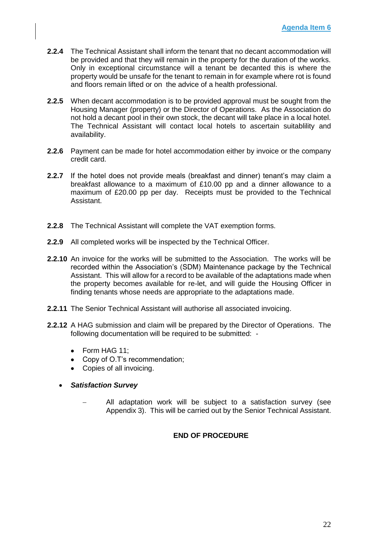- **2.2.4** The Technical Assistant shall inform the tenant that no decant accommodation will be provided and that they will remain in the property for the duration of the works. Only in exceptional circumstance will a tenant be decanted this is where the property would be unsafe for the tenant to remain in for example where rot is found and floors remain lifted or on the advice of a health professional.
- **2.2.5** When decant accommodation is to be provided approval must be sought from the Housing Manager (property) or the Director of Operations. As the Association do not hold a decant pool in their own stock, the decant will take place in a local hotel. The Technical Assistant will contact local hotels to ascertain suitablility and availability.
- **2.2.6** Payment can be made for hotel accommodation either by invoice or the company credit card.
- **2.2.7** If the hotel does not provide meals (breakfast and dinner) tenant's may claim a breakfast allowance to a maximum of £10.00 pp and a dinner allowance to a maximum of £20.00 pp per day. Receipts must be provided to the Technical Assistant.
- **2.2.8** The Technical Assistant will complete the VAT exemption forms.
- **2.2.9** All completed works will be inspected by the Technical Officer.
- **2.2.10** An invoice for the works will be submitted to the Association. The works will be recorded within the Association's (SDM) Maintenance package by the Technical Assistant. This will allow for a record to be available of the adaptations made when the property becomes available for re-let, and will guide the Housing Officer in finding tenants whose needs are appropriate to the adaptations made.
- **2.2.11** The Senior Technical Assistant will authorise all associated invoicing.
- **2.2.12** A HAG submission and claim will be prepared by the Director of Operations. The following documentation will be required to be submitted: -
	- Form HAG 11;
	- Copy of O.T's recommendation;
	- Copies of all invoicing.
	- *Satisfaction Survey*
		- All adaptation work will be subject to a satisfaction survey (see Appendix 3). This will be carried out by the Senior Technical Assistant.

### **END OF PROCEDURE**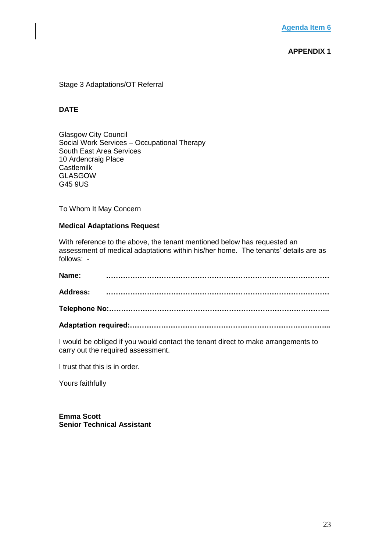### **APPENDIX 1**

#### Stage 3 Adaptations/OT Referral

### **DATE**

Glasgow City Council Social Work Services – Occupational Therapy South East Area Services 10 Ardencraig Place **Castlemilk** GLASGOW G45 9US

To Whom It May Concern

#### **Medical Adaptations Request**

With reference to the above, the tenant mentioned below has requested an assessment of medical adaptations within his/her home. The tenants' details are as follows: -

| Name: |  |
|-------|--|
|       |  |
|       |  |
|       |  |

I would be obliged if you would contact the tenant direct to make arrangements to carry out the required assessment.

I trust that this is in order.

Yours faithfully

**Emma Scott Senior Technical Assistant**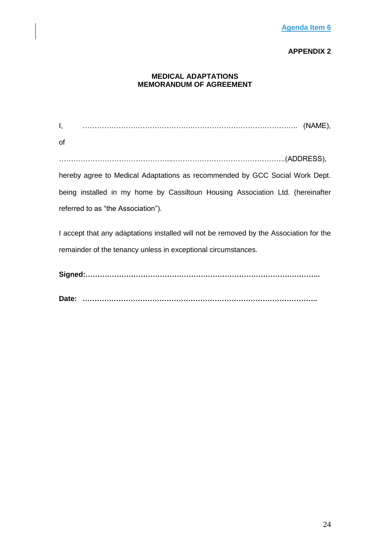### **APPENDIX 2**

### **MEDICAL ADAPTATIONS MEMORANDUM OF AGREEMENT**

I, ……………………………………….…………………………………….. (NAME), of ………………………………………...………………………………………..(ADDRESS), hereby agree to Medical Adaptations as recommended by GCC Social Work Dept. being installed in my home by Cassiltoun Housing Association Ltd. (hereinafter referred to as "the Association"). I accept that any adaptations installed will not be removed by the Association for the remainder of the tenancy unless in exceptional circumstances. **Signed:…………………………………………………………………………………….. Date: ……………………………………………………………………………………..**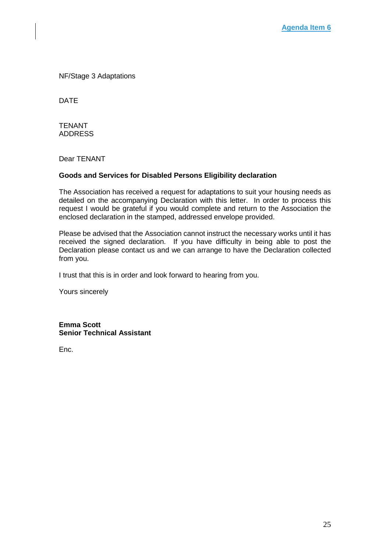NF/Stage 3 Adaptations

DATE

TENANT ADDRESS

Dear TENANT

### **Goods and Services for Disabled Persons Eligibility declaration**

The Association has received a request for adaptations to suit your housing needs as detailed on the accompanying Declaration with this letter. In order to process this request I would be grateful if you would complete and return to the Association the enclosed declaration in the stamped, addressed envelope provided.

Please be advised that the Association cannot instruct the necessary works until it has received the signed declaration. If you have difficulty in being able to post the Declaration please contact us and we can arrange to have the Declaration collected from you.

I trust that this is in order and look forward to hearing from you.

Yours sincerely

**Emma Scott Senior Technical Assistant**

Enc.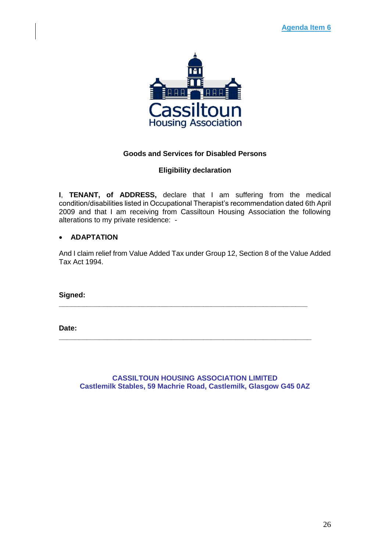

### **Goods and Services for Disabled Persons**

### **Eligibility declaration**

**I**, **TENANT, of ADDRESS,** declare that I am suffering from the medical condition/disabilities listed in Occupational Therapist's recommendation dated 6th April 2009 and that I am receiving from Cassiltoun Housing Association the following alterations to my private residence: -

### • **ADAPTATION**

And I claim relief from Value Added Tax under Group 12, Section 8 of the Value Added Tax Act 1994.

**\_\_\_\_\_\_\_\_\_\_\_\_\_\_\_\_\_\_\_\_\_\_\_\_\_\_\_\_\_\_\_\_\_\_\_\_\_\_\_\_\_\_\_\_\_\_\_\_\_\_\_\_\_\_\_\_\_\_\_\_\_\_**

**\_\_\_\_\_\_\_\_\_\_\_\_\_\_\_\_\_\_\_\_\_\_\_\_\_\_\_\_\_\_\_\_\_\_\_\_\_\_\_\_\_\_\_\_\_\_\_\_\_\_\_\_\_\_\_\_\_\_\_\_\_\_\_**

**Signed:** 

**Date:** 

**CASSILTOUN HOUSING ASSOCIATION LIMITED Castlemilk Stables, 59 Machrie Road, Castlemilk, Glasgow G45 0AZ**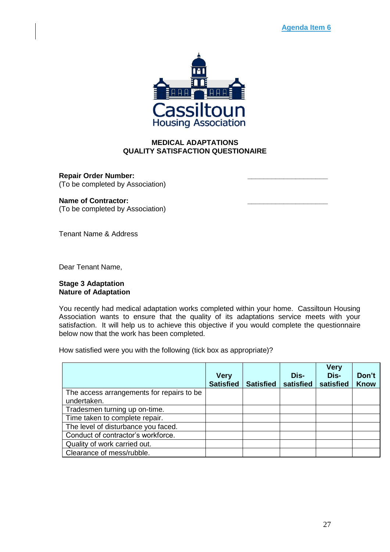

### **MEDICAL ADAPTATIONS QUALITY SATISFACTION QUESTIONAIRE**

**Repair Order Number: \_\_\_\_\_\_\_\_\_\_\_\_\_\_\_\_\_\_\_\_**  (To be completed by Association)

### **Name of Contractor: \_\_\_\_\_\_\_\_\_\_\_\_\_\_\_\_\_\_\_\_**

(To be completed by Association)

Tenant Name & Address

Dear Tenant Name,

#### **Stage 3 Adaptation Nature of Adaptation**

You recently had medical adaptation works completed within your home. Cassiltoun Housing Association wants to ensure that the quality of its adaptations service meets with your satisfaction. It will help us to achieve this objective if you would complete the questionnaire below now that the work has been completed.

How satisfied were you with the following (tick box as appropriate)?

|                                            | <b>Very</b><br><b>Satisfied</b> | <b>Satisfied</b> | Dis-<br>satisfied | <b>Very</b><br>Dis-<br>satisfied | Don't<br><b>Know</b> |
|--------------------------------------------|---------------------------------|------------------|-------------------|----------------------------------|----------------------|
| The access arrangements for repairs to be. |                                 |                  |                   |                                  |                      |
| undertaken.                                |                                 |                  |                   |                                  |                      |
| Tradesmen turning up on-time.              |                                 |                  |                   |                                  |                      |
| Time taken to complete repair.             |                                 |                  |                   |                                  |                      |
| The level of disturbance you faced.        |                                 |                  |                   |                                  |                      |
| Conduct of contractor's workforce.         |                                 |                  |                   |                                  |                      |
| Quality of work carried out.               |                                 |                  |                   |                                  |                      |
| Clearance of mess/rubble.                  |                                 |                  |                   |                                  |                      |